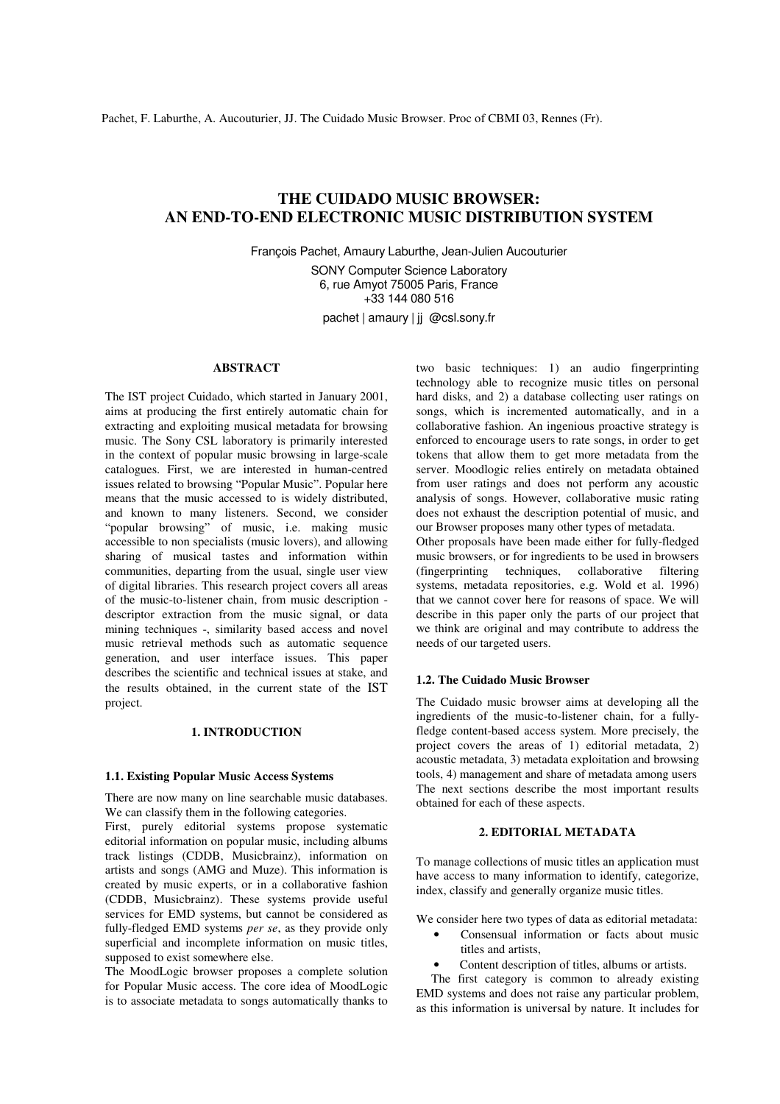# **THE CUIDADO MUSIC BROWSER: AN END-TO-END ELECTRONIC MUSIC DISTRIBUTION SYSTEM**

François Pachet, Amaury Laburthe, Jean-Julien Aucouturier SONY Computer Science Laboratory 6, rue Amyot 75005 Paris, France

+33 144 080 516

pachet | amaury | jj @csl.sony.fr

# **ABSTRACT**

The IST project Cuidado, which started in January 2001, aims at producing the first entirely automatic chain for extracting and exploiting musical metadata for browsing music. The Sony CSL laboratory is primarily interested in the context of popular music browsing in large-scale catalogues. First, we are interested in human-centred issues related to browsing "Popular Music". Popular here means that the music accessed to is widely distributed, and known to many listeners. Second, we consider "popular browsing" of music, i.e. making music accessible to non specialists (music lovers), and allowing sharing of musical tastes and information within communities, departing from the usual, single user view of digital libraries. This research project covers all areas of the music-to-listener chain, from music description descriptor extraction from the music signal, or data mining techniques -, similarity based access and novel music retrieval methods such as automatic sequence generation, and user interface issues. This paper describes the scientific and technical issues at stake, and the results obtained, in the current state of the IST project.

# **1. INTRODUCTION**

#### **1.1. Existing Popular Music Access Systems**

There are now many on line searchable music databases. We can classify them in the following categories.

First, purely editorial systems propose systematic editorial information on popular music, including albums track listings (CDDB, Musicbrainz), information on artists and songs (AMG and Muze). This information is created by music experts, or in a collaborative fashion (CDDB, Musicbrainz). These systems provide useful services for EMD systems, but cannot be considered as fully-fledged EMD systems *per se*, as they provide only superficial and incomplete information on music titles, supposed to exist somewhere else.

The MoodLogic browser proposes a complete solution for Popular Music access. The core idea of MoodLogic is to associate metadata to songs automatically thanks to

two basic techniques: 1) an audio fingerprinting technology able to recognize music titles on personal hard disks, and 2) a database collecting user ratings on songs, which is incremented automatically, and in a collaborative fashion. An ingenious proactive strategy is enforced to encourage users to rate songs, in order to get tokens that allow them to get more metadata from the server. Moodlogic relies entirely on metadata obtained from user ratings and does not perform any acoustic analysis of songs. However, collaborative music rating does not exhaust the description potential of music, and our Browser proposes many other types of metadata.

Other proposals have been made either for fully-fledged music browsers, or for ingredients to be used in browsers (fingerprinting techniques, collaborative filtering systems, metadata repositories, e.g. Wold et al. 1996) that we cannot cover here for reasons of space. We will describe in this paper only the parts of our project that we think are original and may contribute to address the needs of our targeted users.

#### **1.2. The Cuidado Music Browser**

The Cuidado music browser aims at developing all the ingredients of the music-to-listener chain, for a fullyfledge content-based access system. More precisely, the project covers the areas of 1) editorial metadata, 2) acoustic metadata, 3) metadata exploitation and browsing tools, 4) management and share of metadata among users The next sections describe the most important results obtained for each of these aspects.

# **2. EDITORIAL METADATA**

To manage collections of music titles an application must have access to many information to identify, categorize, index, classify and generally organize music titles.

We consider here two types of data as editorial metadata:

- Consensual information or facts about music titles and artists,
- Content description of titles, albums or artists.

The first category is common to already existing EMD systems and does not raise any particular problem, as this information is universal by nature. It includes for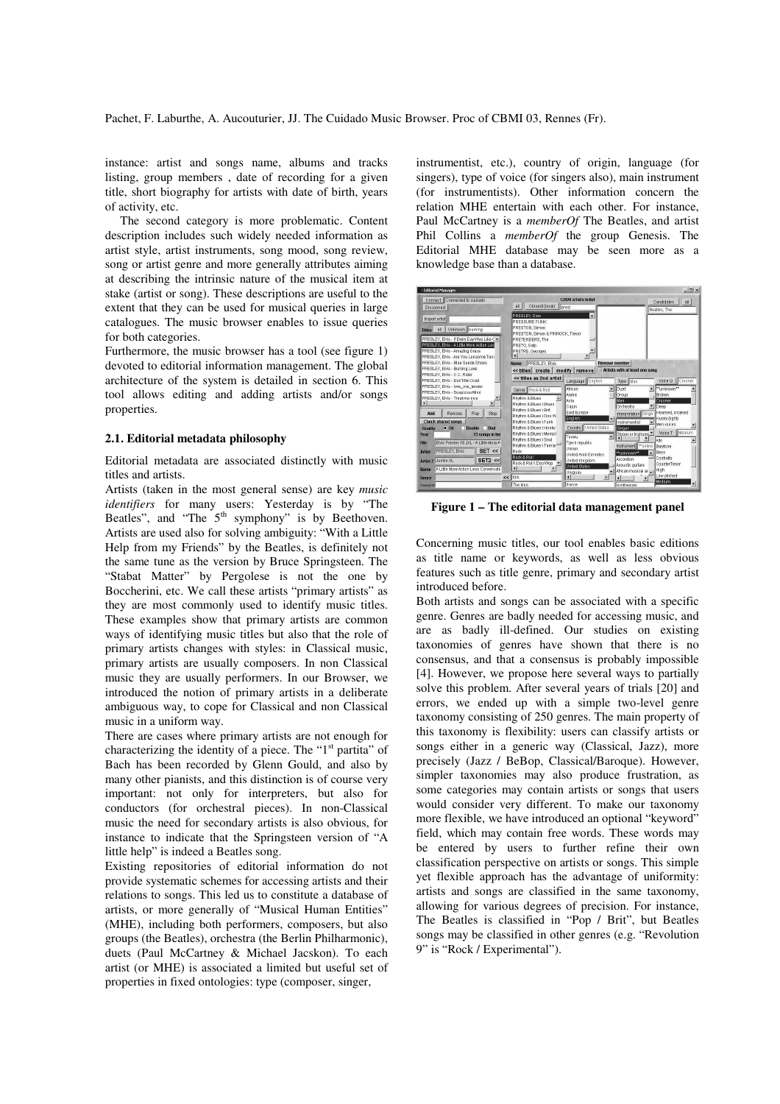instance: artist and songs name, albums and tracks listing, group members , date of recording for a given title, short biography for artists with date of birth, years of activity, etc.

The second category is more problematic. Content description includes such widely needed information as artist style, artist instruments, song mood, song review, song or artist genre and more generally attributes aiming at describing the intrinsic nature of the musical item at stake (artist or song). These descriptions are useful to the extent that they can be used for musical queries in large catalogues. The music browser enables to issue queries for both categories.

Furthermore, the music browser has a tool (see figure 1) devoted to editorial information management. The global architecture of the system is detailed in section 6. This tool allows editing and adding artists and/or songs properties.

## **2.1. Editorial metadata philosophy**

Editorial metadata are associated distinctly with music titles and artists.

Artists (taken in the most general sense) are key *music identifiers* for many users: Yesterday is by "The Beatles", and "The  $5<sup>th</sup>$  symphony" is by Beethoven. Artists are used also for solving ambiguity: "With a Little Help from my Friends" by the Beatles, is definitely not the same tune as the version by Bruce Springsteen. The "Stabat Matter" by Pergolese is not the one by Boccherini, etc. We call these artists "primary artists" as they are most commonly used to identify music titles. These examples show that primary artists are common ways of identifying music titles but also that the role of primary artists changes with styles: in Classical music, primary artists are usually composers. In non Classical music they are usually performers. In our Browser, we introduced the notion of primary artists in a deliberate ambiguous way, to cope for Classical and non Classical music in a uniform way.

There are cases where primary artists are not enough for characterizing the identity of a piece. The "1<sup>st</sup> partita" of Bach has been recorded by Glenn Gould, and also by many other pianists, and this distinction is of course very important: not only for interpreters, but also for conductors (for orchestral pieces). In non-Classical music the need for secondary artists is also obvious, for instance to indicate that the Springsteen version of "A little help" is indeed a Beatles song.

Existing repositories of editorial information do not provide systematic schemes for accessing artists and their relations to songs. This led us to constitute a database of artists, or more generally of "Musical Human Entities" (MHE), including both performers, composers, but also groups (the Beatles), orchestra (the Berlin Philharmonic), duets (Paul McCartney & Michael Jacskon). To each artist (or MHE) is associated a limited but useful set of properties in fixed ontologies: type (composer, singer,

instrumentist, etc.), country of origin, language (for singers), type of voice (for singers also), main instrument (for instrumentists). Other information concern the relation MHE entertain with each other. For instance, Paul McCartney is a *memberOf* The Beatles, and artist Phil Collins a *memberOf* the group Genesis. The Editorial MHE database may be seen more as a knowledge base than a database.



**Figure 1 – The editorial data management panel**

Concerning music titles, our tool enables basic editions as title name or keywords, as well as less obvious features such as title genre, primary and secondary artist introduced before.

Both artists and songs can be associated with a specific genre. Genres are badly needed for accessing music, and are as badly ill-defined. Our studies on existing taxonomies of genres have shown that there is no consensus, and that a consensus is probably impossible [4]. However, we propose here several ways to partially solve this problem. After several years of trials [20] and errors, we ended up with a simple two-level genre taxonomy consisting of 250 genres. The main property of this taxonomy is flexibility: users can classify artists or songs either in a generic way (Classical, Jazz), more precisely (Jazz / BeBop, Classical/Baroque). However, simpler taxonomies may also produce frustration, as some categories may contain artists or songs that users would consider very different. To make our taxonomy more flexible, we have introduced an optional "keyword" field, which may contain free words. These words may be entered by users to further refine their own classification perspective on artists or songs. This simple yet flexible approach has the advantage of uniformity: artists and songs are classified in the same taxonomy, allowing for various degrees of precision. For instance, The Beatles is classified in "Pop / Brit", but Beatles songs may be classified in other genres (e.g. "Revolution 9" is "Rock / Experimental").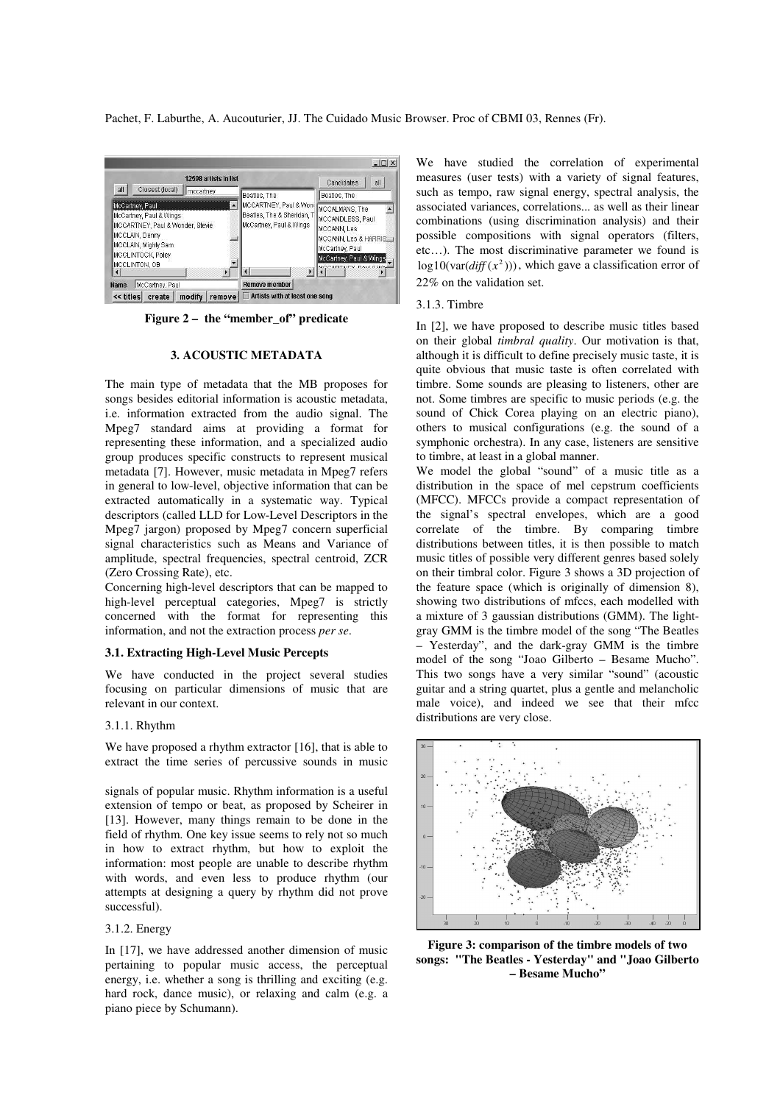

**Figure 2 – the "member\_of" predicate**

# **3. ACOUSTIC METADATA**

The main type of metadata that the MB proposes for songs besides editorial information is acoustic metadata, i.e. information extracted from the audio signal. The Mpeg7 standard aims at providing a format for representing these information, and a specialized audio group produces specific constructs to represent musical metadata [7]. However, music metadata in Mpeg7 refers in general to low-level, objective information that can be extracted automatically in a systematic way. Typical descriptors (called LLD for Low-Level Descriptors in the Mpeg7 jargon) proposed by Mpeg7 concern superficial signal characteristics such as Means and Variance of amplitude, spectral frequencies, spectral centroid, ZCR (Zero Crossing Rate), etc.

Concerning high-level descriptors that can be mapped to high-level perceptual categories, Mpeg7 is strictly concerned with the format for representing this information, and not the extraction process *per se*.

# **3.1. Extracting High-Level Music Percepts**

We have conducted in the project several studies focusing on particular dimensions of music that are relevant in our context.

# 3.1.1. Rhythm

We have proposed a rhythm extractor [16], that is able to extract the time series of percussive sounds in music

signals of popular music. Rhythm information is a useful extension of tempo or beat, as proposed by Scheirer in [13]. However, many things remain to be done in the field of rhythm. One key issue seems to rely not so much in how to extract rhythm, but how to exploit the information: most people are unable to describe rhythm with words, and even less to produce rhythm (our attempts at designing a query by rhythm did not prove successful).

# 3.1.2. Energy

In [17], we have addressed another dimension of music pertaining to popular music access, the perceptual energy, i.e. whether a song is thrilling and exciting (e.g. hard rock, dance music), or relaxing and calm (e.g. a piano piece by Schumann).

We have studied the correlation of experimental measures (user tests) with a variety of signal features, such as tempo, raw signal energy, spectral analysis, the associated variances, correlations... as well as their linear combinations (using discrimination analysis) and their possible compositions with signal operators (filters, etc…). The most discriminative parameter we found is  $log 10(\text{var}(diff(x^2)))$ , which gave a classification error of 22% on the validation set.

#### 3.1.3. Timbre

In [2], we have proposed to describe music titles based on their global *timbral quality*. Our motivation is that, although it is difficult to define precisely music taste, it is quite obvious that music taste is often correlated with timbre. Some sounds are pleasing to listeners, other are not. Some timbres are specific to music periods (e.g. the sound of Chick Corea playing on an electric piano), others to musical configurations (e.g. the sound of a symphonic orchestra). In any case, listeners are sensitive to timbre, at least in a global manner.

We model the global "sound" of a music title as a distribution in the space of mel cepstrum coefficients (MFCC). MFCCs provide a compact representation of the signal's spectral envelopes, which are a good correlate of the timbre. By comparing timbre distributions between titles, it is then possible to match music titles of possible very different genres based solely on their timbral color. Figure 3 shows a 3D projection of the feature space (which is originally of dimension 8), showing two distributions of mfccs, each modelled with a mixture of 3 gaussian distributions (GMM). The lightgray GMM is the timbre model of the song "The Beatles – Yesterday", and the dark-gray GMM is the timbre model of the song "Joao Gilberto – Besame Mucho". This two songs have a very similar "sound" (acoustic guitar and a string quartet, plus a gentle and melancholic male voice), and indeed we see that their mfcc distributions are very close.



**Figure 3: comparison of the timbre models of two songs: "The Beatles - Yesterday" and "Joao Gilberto – Besame Mucho"**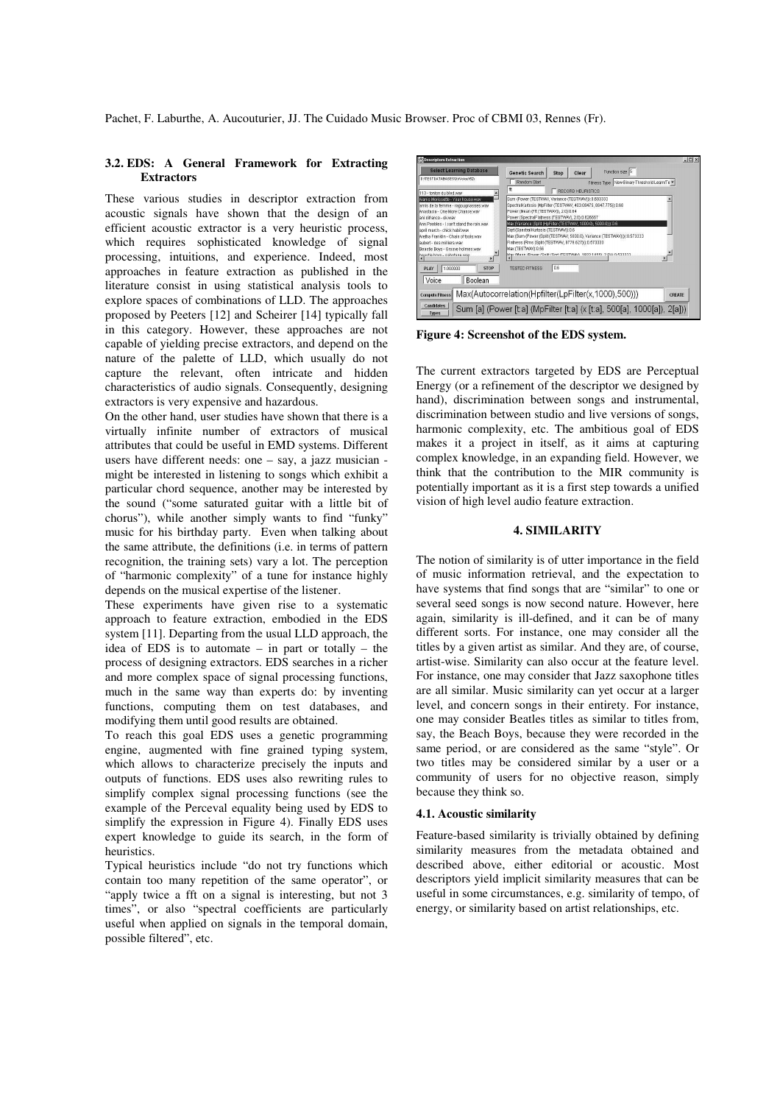## **3.2. EDS: A General Framework for Extracting Extractors**

These various studies in descriptor extraction from acoustic signals have shown that the design of an efficient acoustic extractor is a very heuristic process, which requires sophisticated knowledge of signal processing, intuitions, and experience. Indeed, most approaches in feature extraction as published in the literature consist in using statistical analysis tools to explore spaces of combinations of LLD. The approaches proposed by Peeters [12] and Scheirer [14] typically fall in this category. However, these approaches are not capable of yielding precise extractors, and depend on the nature of the palette of LLD, which usually do not capture the relevant, often intricate and hidden characteristics of audio signals. Consequently, designing extractors is very expensive and hazardous.

On the other hand, user studies have shown that there is a virtually infinite number of extractors of musical attributes that could be useful in EMD systems. Different users have different needs: one – say, a jazz musician might be interested in listening to songs which exhibit a particular chord sequence, another may be interested by the sound ("some saturated guitar with a little bit of chorus"), while another simply wants to find "funky" music for his birthday party. Even when talking about the same attribute, the definitions (i.e. in terms of pattern recognition, the training sets) vary a lot. The perception of "harmonic complexity" of a tune for instance highly depends on the musical expertise of the listener.

These experiments have given rise to a systematic approach to feature extraction, embodied in the EDS system [11]. Departing from the usual LLD approach, the idea of EDS is to automate  $-$  in part or totally  $-$  the process of designing extractors. EDS searches in a richer and more complex space of signal processing functions, much in the same way than experts do: by inventing functions, computing them on test databases, and modifying them until good results are obtained.

To reach this goal EDS uses a genetic programming engine, augmented with fine grained typing system, which allows to characterize precisely the inputs and outputs of functions. EDS uses also rewriting rules to simplify complex signal processing functions (see the example of the Perceval equality being used by EDS to simplify the expression in Figure 4). Finally EDS uses expert knowledge to guide its search, in the form of heuristics.

Typical heuristics include "do not try functions which contain too many repetition of the same operator", or "apply twice a fft on a signal is interesting, but not 3 times", or also "spectral coefficients are particularly useful when applied on signals in the temporal domain, possible filtered", etc.



**Figure 4: Screenshot of the EDS system.**

The current extractors targeted by EDS are Perceptual Energy (or a refinement of the descriptor we designed by hand), discrimination between songs and instrumental, discrimination between studio and live versions of songs, harmonic complexity, etc. The ambitious goal of EDS makes it a project in itself, as it aims at capturing complex knowledge, in an expanding field. However, we think that the contribution to the MIR community is potentially important as it is a first step towards a unified vision of high level audio feature extraction.

## **4. SIMILARITY**

The notion of similarity is of utter importance in the field of music information retrieval, and the expectation to have systems that find songs that are "similar" to one or several seed songs is now second nature. However, here again, similarity is ill-defined, and it can be of many different sorts. For instance, one may consider all the titles by a given artist as similar. And they are, of course, artist-wise. Similarity can also occur at the feature level. For instance, one may consider that Jazz saxophone titles are all similar. Music similarity can yet occur at a larger level, and concern songs in their entirety. For instance, one may consider Beatles titles as similar to titles from, say, the Beach Boys, because they were recorded in the same period, or are considered as the same "style". Or two titles may be considered similar by a user or a community of users for no objective reason, simply because they think so.

#### **4.1. Acoustic similarity**

Feature-based similarity is trivially obtained by defining similarity measures from the metadata obtained and described above, either editorial or acoustic. Most descriptors yield implicit similarity measures that can be useful in some circumstances, e.g. similarity of tempo, of energy, or similarity based on artist relationships, etc.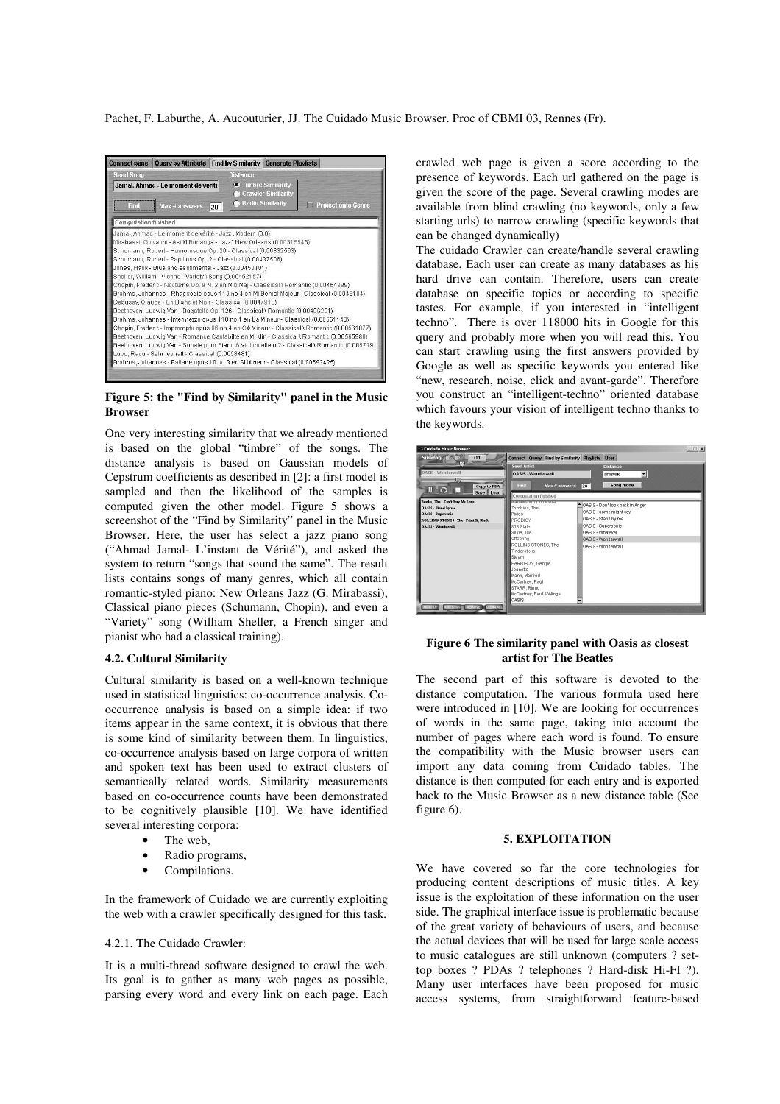

**Figure 5: the "Find by Similarity" panel in the Music Browser**

One very interesting similarity that we already mentioned is based on the global "timbre" of the songs. The distance analysis is based on Gaussian models of Cepstrum coefficients as described in [2]: a first model is sampled and then the likelihood of the samples is computed given the other model. Figure 5 shows a screenshot of the "Find by Similarity" panel in the Music Browser. Here, the user has select a jazz piano song ("Ahmad Jamal- L'instant de Vérité"), and asked the system to return "songs that sound the same". The result lists contains songs of many genres, which all contain romantic-styled piano: New Orleans Jazz (G. Mirabassi), Classical piano pieces (Schumann, Chopin), and even a "Variety" song (William Sheller, a French singer and pianist who had a classical training).

## **4.2. Cultural Similarity**

Cultural similarity is based on a well-known technique used in statistical linguistics: co-occurrence analysis. Cooccurrence analysis is based on a simple idea: if two items appear in the same context, it is obvious that there is some kind of similarity between them. In linguistics, co-occurrence analysis based on large corpora of written and spoken text has been used to extract clusters of semantically related words. Similarity measurements based on co-occurrence counts have been demonstrated to be cognitively plausible [10]. We have identified several interesting corpora:

- The web,
- Radio programs,
- Compilations.

In the framework of Cuidado we are currently exploiting the web with a crawler specifically designed for this task.

## 4.2.1. The Cuidado Crawler:

It is a multi-thread software designed to crawl the web. Its goal is to gather as many web pages as possible, parsing every word and every link on each page. Each crawled web page is given a score according to the presence of keywords. Each url gathered on the page is given the score of the page. Several crawling modes are available from blind crawling (no keywords, only a few starting urls) to narrow crawling (specific keywords that can be changed dynamically)

The cuidado Crawler can create/handle several crawling database. Each user can create as many databases as his hard drive can contain. Therefore, users can create database on specific topics or according to specific tastes. For example, if you interested in "intelligent techno". There is over 118000 hits in Google for this query and probably more when you will read this. You can start crawling using the first answers provided by Google as well as specific keywords you entered like "new, research, noise, click and avant-garde". Therefore you construct an "intelligent-techno" oriented database which favours your vision of intelligent techno thanks to the keywords.



### **Figure 6 The similarity panel with Oasis as closest artist for The Beatles**

The second part of this software is devoted to the distance computation. The various formula used here were introduced in [10]. We are looking for occurrences of words in the same page, taking into account the number of pages where each word is found. To ensure the compatibility with the Music browser users can import any data coming from Cuidado tables. The distance is then computed for each entry and is exported back to the Music Browser as a new distance table (See figure 6).

# **5. EXPLOITATION**

We have covered so far the core technologies for producing content descriptions of music titles. A key issue is the exploitation of these information on the user side. The graphical interface issue is problematic because of the great variety of behaviours of users, and because the actual devices that will be used for large scale access to music catalogues are still unknown (computers ? settop boxes ? PDAs ? telephones ? Hard-disk Hi-FI ?). Many user interfaces have been proposed for music access systems, from straightforward feature-based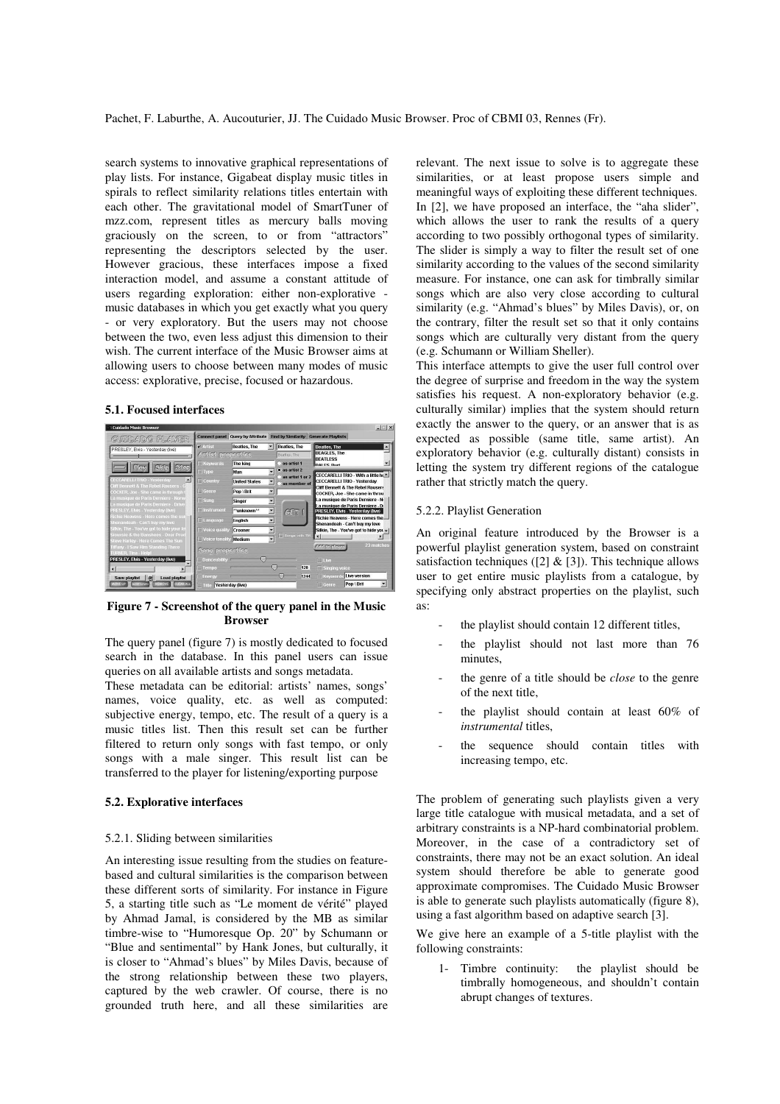search systems to innovative graphical representations of play lists. For instance, Gigabeat display music titles in spirals to reflect similarity relations titles entertain with each other. The gravitational model of SmartTuner of mzz.com, represent titles as mercury balls moving graciously on the screen, to or from "attractors" representing the descriptors selected by the user. However gracious, these interfaces impose a fixed interaction model, and assume a constant attitude of users regarding exploration: either non-explorative music databases in which you get exactly what you query - or very exploratory. But the users may not choose between the two, even less adjust this dimension to their wish. The current interface of the Music Browser aims at allowing users to choose between many modes of music access: explorative, precise, focused or hazardous.

# **5.1. Focused interfaces**



**Figure 7 - Screenshot of the query panel in the Music Browser**

The query panel (figure 7) is mostly dedicated to focused search in the database. In this panel users can issue queries on all available artists and songs metadata.

These metadata can be editorial: artists' names, songs' names, voice quality, etc. as well as computed: subjective energy, tempo, etc. The result of a query is a music titles list. Then this result set can be further filtered to return only songs with fast tempo, or only songs with a male singer. This result list can be transferred to the player for listening/exporting purpose

# **5.2. Explorative interfaces**

#### 5.2.1. Sliding between similarities

An interesting issue resulting from the studies on featurebased and cultural similarities is the comparison between these different sorts of similarity. For instance in Figure 5, a starting title such as "Le moment de vérité" played by Ahmad Jamal, is considered by the MB as similar timbre-wise to "Humoresque Op. 20" by Schumann or "Blue and sentimental" by Hank Jones, but culturally, it is closer to "Ahmad's blues" by Miles Davis, because of the strong relationship between these two players, captured by the web crawler. Of course, there is no grounded truth here, and all these similarities are

relevant. The next issue to solve is to aggregate these similarities, or at least propose users simple and meaningful ways of exploiting these different techniques. In [2], we have proposed an interface, the "aha slider", which allows the user to rank the results of a query according to two possibly orthogonal types of similarity. The slider is simply a way to filter the result set of one similarity according to the values of the second similarity measure. For instance, one can ask for timbrally similar songs which are also very close according to cultural similarity (e.g. "Ahmad's blues" by Miles Davis), or, on the contrary, filter the result set so that it only contains songs which are culturally very distant from the query (e.g. Schumann or William Sheller).

This interface attempts to give the user full control over the degree of surprise and freedom in the way the system satisfies his request. A non-exploratory behavior (e.g. culturally similar) implies that the system should return exactly the answer to the query, or an answer that is as expected as possible (same title, same artist). An exploratory behavior (e.g. culturally distant) consists in letting the system try different regions of the catalogue rather that strictly match the query.

#### 5.2.2. Playlist Generation

An original feature introduced by the Browser is a powerful playlist generation system, based on constraint satisfaction techniques ([2]  $&$  [3]). This technique allows user to get entire music playlists from a catalogue, by specifying only abstract properties on the playlist, such as:

- the playlist should contain 12 different titles,
- the playlist should not last more than 76 minutes,
- the genre of a title should be *close* to the genre of the next title,
- the playlist should contain at least  $60\%$  of *instrumental* titles,
- the sequence should contain titles with increasing tempo, etc.

The problem of generating such playlists given a very large title catalogue with musical metadata, and a set of arbitrary constraints is a NP-hard combinatorial problem. Moreover, in the case of a contradictory set of constraints, there may not be an exact solution. An ideal system should therefore be able to generate good approximate compromises. The Cuidado Music Browser is able to generate such playlists automatically (figure 8), using a fast algorithm based on adaptive search [3].

We give here an example of a 5-title playlist with the following constraints:

1- Timbre continuity: the playlist should be timbrally homogeneous, and shouldn't contain abrupt changes of textures.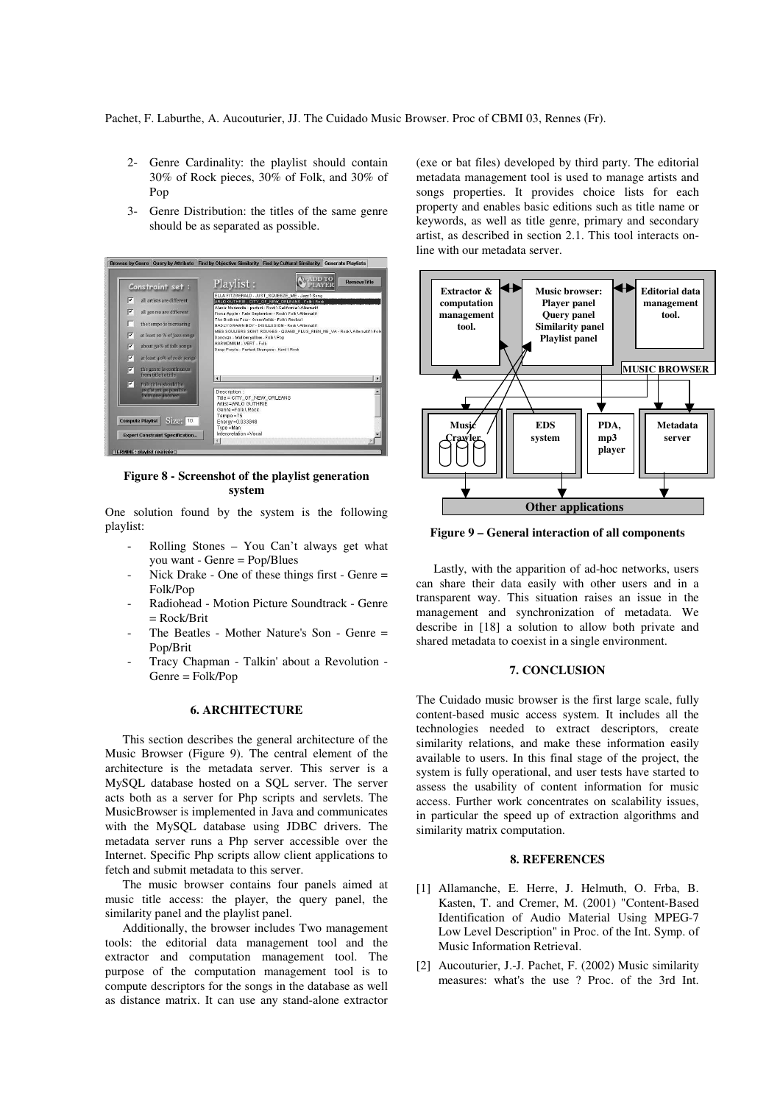- 2- Genre Cardinality: the playlist should contain 30% of Rock pieces, 30% of Folk, and 30% of Pop
- 3- Genre Distribution: the titles of the same genre should be as separated as possible.

| ⊽<br>⊽<br>г<br>⊽        | Constraint set:<br>all artists are different<br>all genres are different<br>the tempo is increasing | Playlist:<br>The Brothers Four - Greenfields - Folk \ Revisal                                                                                                        | ADD TO<br>PLAYER<br>ELLA FITZGERALD - JUST SQUEEZE ME - Jazz \ Song<br>ARLO GUTHRIE - CITY OF NEW ORLEANS - Folk \ Rock<br>Alanis Morissette - perfect - Rock \ California \ Alternatif<br>Fiona Apple - Pale September - Rock \ Folk \ Alternatif | <b>RemoveTitle</b>    |
|-------------------------|-----------------------------------------------------------------------------------------------------|----------------------------------------------------------------------------------------------------------------------------------------------------------------------|----------------------------------------------------------------------------------------------------------------------------------------------------------------------------------------------------------------------------------------------------|-----------------------|
|                         |                                                                                                     |                                                                                                                                                                      |                                                                                                                                                                                                                                                    |                       |
| $\overline{v}$<br>◸     | at least 10 % of jazz songs<br>about 50% of folk songs<br>at least 40% of rock songs                | Donovan - Mellow vellow - Folk \ Pop<br>HARMONIUM - VERT - Felk<br>Deep Purple - Perfect Strangers - Hard \ Rock                                                     | RADI Y DRAWN ROY - DISILLISION - Rock \ Alfernatif<br>MES SOULIERS SONT ROUGES - QUAND PLUS RIEN NE VA - Rock \ Alternatif \ Folk                                                                                                                  |                       |
| ⊽<br>◸                  | the genre is continuous.<br>from tilleto title<br>Folk titles should be<br>as distant as possible   | $\blacktriangleleft$                                                                                                                                                 |                                                                                                                                                                                                                                                    | $\blacktriangleright$ |
| <b>Compute Playlist</b> | from one another<br>Size: 10<br><b>Expert Constraint Specification</b>                              | Description:<br>Title = CITY OF NEW ORLEANS<br>Artist = ARLO GUTHRIE<br>Genre =Folk \ Rock<br>$Tempo = 75$<br>Energy=0.033948<br>Type = Man<br>Interpretation =Vocal |                                                                                                                                                                                                                                                    |                       |

**Figure 8 - Screenshot of the playlist generation system**

One solution found by the system is the following playlist:

- Rolling Stones You Can't always get what you want - Genre = Pop/Blues
- Nick Drake One of these things first Genre = Folk/Pop
- Radiohead Motion Picture Soundtrack Genre  $=$  Rock/Brit
- The Beatles Mother Nature's Son Genre = Pop/Brit
- Tracy Chapman Talkin'about a Revolution Genre = Folk/Pop

# **6. ARCHITECTURE**

This section describes the general architecture of the Music Browser (Figure 9). The central element of the architecture is the metadata server. This server is a MySQL database hosted on a SQL server. The server acts both as a server for Php scripts and servlets. The MusicBrowser is implemented in Java and communicates with the MySQL database using JDBC drivers. The metadata server runs a Php server accessible over the Internet. Specific Php scripts allow client applications to fetch and submit metadata to this server.

The music browser contains four panels aimed at music title access: the player, the query panel, the similarity panel and the playlist panel.

Additionally, the browser includes Two management tools: the editorial data management tool and the extractor and computation management tool. The purpose of the computation management tool is to compute descriptors for the songs in the database as well as distance matrix. It can use any stand-alone extractor (exe or bat files) developed by third party. The editorial metadata management tool is used to manage artists and songs properties. It provides choice lists for each property and enables basic editions such as title name or keywords, as well as title genre, primary and secondary artist, as described in section 2.1. This tool interacts online with our metadata server.



**Figure 9 – General interaction of all components**

Lastly, with the apparition of ad-hoc networks, users can share their data easily with other users and in a transparent way. This situation raises an issue in the management and synchronization of metadata. We describe in [18] a solution to allow both private and shared metadata to coexist in a single environment.

## **7. CONCLUSION**

The Cuidado music browser is the first large scale, fully content-based music access system. It includes all the technologies needed to extract descriptors, create similarity relations, and make these information easily available to users. In this final stage of the project, the system is fully operational, and user tests have started to assess the usability of content information for music access. Further work concentrates on scalability issues, in particular the speed up of extraction algorithms and similarity matrix computation.

# **8. REFERENCES**

- [1] Allamanche, E. Herre, J. Helmuth, O. Frba, B. Kasten, T. and Cremer, M. (2001) "Content-Based Identification of Audio Material Using MPEG-7 Low Level Description" in Proc. of the Int. Symp. of Music Information Retrieval.
- [2] Aucouturier, J.-J. Pachet, F. (2002) Music similarity measures: what's the use ? Proc. of the 3rd Int.